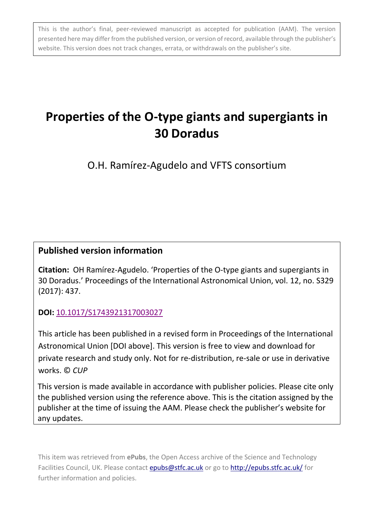This is the author's final, peer-reviewed manuscript as accepted for publication (AAM). The version presented here may differ from the published version, or version of record, available through the publisher's website. This version does not track changes, errata, or withdrawals on the publisher's site.

# **Properties of the O-type giants and supergiants in 30 Doradus**

O.H. Ramírez-Agudelo and VFTS consortium

### **Published version information**

**Citation:** OH Ramírez-Agudelo. 'Properties of the O-type giants and supergiants in 30 Doradus.' Proceedings of the International Astronomical Union, vol. 12, no. S329 (2017): 437.

**DOI:** [10.1017/S1743921317003027](http://dx.doi.org/10.1017/S1743921317003027)

This article has been published in a revised form in Proceedings of the International Astronomical Union [DOI above]. This version is free to view and download for private research and study only. Not for re-distribution, re-sale or use in derivative works. © *CUP*

This version is made available in accordance with publisher policies. Please cite only the published version using the reference above. This is the citation assigned by the publisher at the time of issuing the AAM. Please check the publisher's website for any updates.

This item was retrieved from **ePubs**, the Open Access archive of the Science and Technology Facilities Council, UK. Please contact [epubs@stfc.ac.uk](mailto:epubs@stfc.ac.uk) or go to<http://epubs.stfc.ac.uk/> for further information and policies.